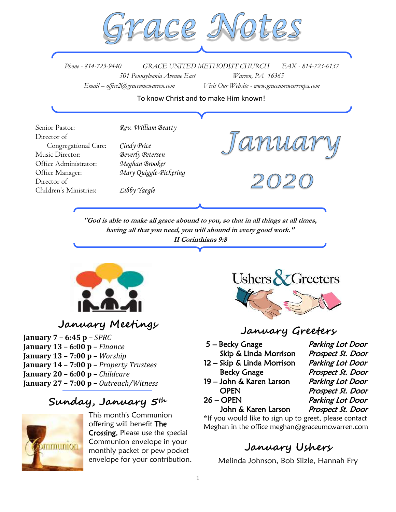

*Phone - 814-723-9440 GRACE UNITED METHODIST CHURCH FAX - 814-723-6137 501 Pennsylvania Avenue East Warren, PA 16365 Email – office2@graceumcwarren.com Visit Our Website - www.graceumcwarrenpa.com* 

To know Christ and to make Him known!

Senior Pastor: *Rev. William Beatty* Director of Congregational Care: *Cindy Price* Music Director: *Beverly Petersen* Office Administrator: *Meghan Brooker* Office Manager: *Mary Quiggle-Pickering* Director of Children's Ministries: *Libby Yaegle*

**"God is able to make all grace abound to you, so that in all things at all times, having all that you need, you will abound in every good work." II Corinthians 9:8**



# **January Meetings**

**January 7 – 6:45 p –** *SPRC* **January 13 – 6:00 p –** *Finance* **January 13 – 7:00 p –** *Worship*  **January 14 – 7:00 p –** *Property Trustees* **January 20 – 6:00 p –** *Childcare* **January 27 – 7:00 p –** *Outreach/Witness*

## **Sunday, January 5th**



This month's Communion offering will benefit The Crossing. Please use the special Communion envelope in your monthly packet or pew pocket envelope for your contribution.



## **January Greeters**

5 – Becky Gnage Parking Lot Door Skip & Linda Morrison Prospect St. Door

- 12 Skip & Linda Morrison Parking Lot Door
- 19 John & Karen Larson Parking Lot Door OPEN Prospect St. Door
- 

Becky Gnage Prospect St. Door 26 – OPEN Parking Lot Door John & Karen Larson Prospect St. Door

\*If you would like to sign up to greet, please contact Meghan in the office meghan@graceumcwarren.com

# **January Ushers**

Melinda Johnson, Bob Silzle, Hannah Fry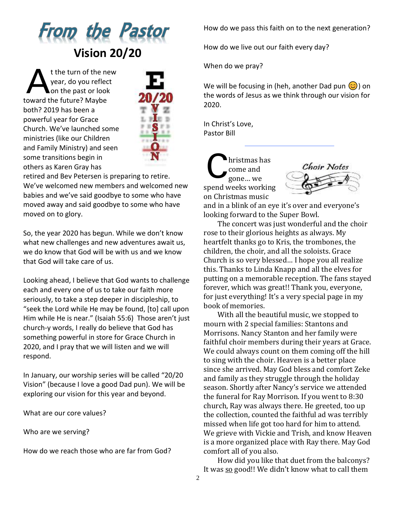

t the turn of the new year, do you reflect on the past or look toward the future? Maybe both? 2019 has been a powerful year for Grace Church. We've launched some ministries (like our Children and Family Ministry) and seen some transitions begin in others as Karen Gray has A



retired and Bev Petersen is preparing to retire. We've welcomed new members and welcomed new babies and we've said goodbye to some who have moved away and said goodbye to some who have moved on to glory.

So, the year 2020 has begun. While we don't know what new challenges and new adventures await us, we do know that God will be with us and we know that God will take care of us.

Looking ahead, I believe that God wants to challenge each and every one of us to take our faith more seriously, to take a step deeper in discipleship, to "seek the Lord while He may be found, [to] call upon Him while He is near." (Isaiah 55:6) Those aren't just church-y words, I really do believe that God has something powerful in store for Grace Church in 2020, and I pray that we will listen and we will respond.

In January, our worship series will be called "20/20 Vision" (because I love a good Dad pun). We will be exploring our vision for this year and beyond.

What are our core values?

Who are we serving?

How do we reach those who are far from God?

How do we pass this faith on to the next generation?

How do we live out our faith every day?

When do we pray?

We will be focusing in (heh, another Dad pun  $\circled{c}$ ) on the words of Jesus as we think through our vision for 2020.

In Christ's Love, Pastor Bill

hristmas has come and gone… we spend weeks working on Christmas music C



and in a blink of an eye it's over and everyone's looking forward to the Super Bowl.

The concert was just wonderful and the choir rose to their glorious heights as always. My heartfelt thanks go to Kris, the trombones, the children, the choir, and all the soloists. Grace Church is so very blessed… I hope you all realize this. Thanks to Linda Knapp and all the elves for putting on a memorable reception. The fans stayed forever, which was great!! Thank you, everyone, for just everything! It's a very special page in my book of memories.

With all the beautiful music, we stopped to mourn with 2 special families: Stantons and Morrisons. Nancy Stanton and her family were faithful choir members during their years at Grace. We could always count on them coming off the hill to sing with the choir. Heaven is a better place since she arrived. May God bless and comfort Zeke and family as they struggle through the holiday season. Shortly after Nancy's service we attended the funeral for Ray Morrison. If you went to 8:30 church, Ray was always there. He greeted, too up the collection, counted the faithful ad was terribly missed when life got too hard for him to attend. We grieve with Vickie and Trish, and know Heaven is a more organized place with Ray there. May God comfort all of you also.

How did you like that duet from the balconys? It was so good!! We didn't know what to call them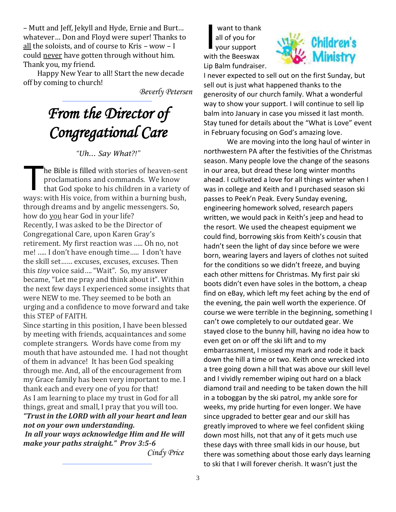– Mutt and Jeff, Jekyll and Hyde, Ernie and Burt… whatever… Don and Floyd were super! Thanks to all the soloists, and of course to Kris – wow – I could never have gotten through without him. Thank you, my friend.

Happy New Year to all! Start the new decade off by coming to church!

*Beverly Petersen*

# *From the Director of Congregational Care*

#### *"Uh… Say What?!"*

he Bible is filled with stories of heaven-sent proclamations and commands. We know that God spoke to his children in a variety of ways: with His voice, from within a burning bush, through dreams and by angelic messengers. So, how do you hear God in your life? Recently, I was asked to be the Director of Congregational Care, upon Karen Gray's retirement. My first reaction was ….. Oh no, not me! ….. I don't have enough time….. I don't have the skill set…… excuses, excuses, excuses. Then this *tiny* voice said…. "Wait". So, my answer became, "Let me pray and think about it". Within the next few days I experienced some insights that were NEW to me. They seemed to be both an urging and a confidence to move forward and take this STEP of FAITH. T

Since starting in this position, I have been blessed by meeting with friends, acquaintances and some complete strangers. Words have come from my mouth that have astounded me. I had not thought of them in advance! It has been God speaking through me. And, all of the encouragement from my Grace family has been very important to me. I thank each and every one of you for that! As I am learning to place my trust in God for all things, great and small, I pray that you will too. *"Trust in the LORD with all your heart and lean not on your own understanding. In all your ways acknowledge Him and He will make your paths straight." Prov 3:5-6*

 *Cindy Price*

want to thank all of you for your support with the Beeswax Lip Balm fundraiser. I



I never expected to sell out on the first Sunday, but sell out is just what happened thanks to the generosity of our church family. What a wonderful way to show your support. I will continue to sell lip balm into January in case you missed it last month. Stay tuned for details about the "What is Love" event in February focusing on God's amazing love.

We are moving into the long haul of winter in northwestern PA after the festivities of the Christmas season. Many people love the change of the seasons in our area, but dread these long winter months ahead. I cultivated a love for all things winter when I was in college and Keith and I purchased season ski passes to Peek'n Peak. Every Sunday evening, engineering homework solved, research papers written, we would pack in Keith's jeep and head to the resort. We used the cheapest equipment we could find, borrowing skis from Keith's cousin that hadn't seen the light of day since before we were born, wearing layers and layers of clothes not suited for the conditions so we didn't freeze, and buying each other mittens for Christmas. My first pair ski boots didn't even have soles in the bottom, a cheap find on eBay, which left my feet aching by the end of the evening, the pain well worth the experience. Of course we were terrible in the beginning, something I can't owe completely to our outdated gear. We stayed close to the bunny hill, having no idea how to even get on or off the ski lift and to my embarrassment, I missed my mark and rode it back down the hill a time or two. Keith once wrecked into a tree going down a hill that was above our skill level and I vividly remember wiping out hard on a black diamond trail and needing to be taken down the hill in a toboggan by the ski patrol, my ankle sore for weeks, my pride hurting for even longer. We have since upgraded to better gear and our skill has greatly improved to where we feel confident skiing down most hills, not that any of it gets much use these days with three small kids in our house, but there was something about those early days learning to ski that I will forever cherish. It wasn't just the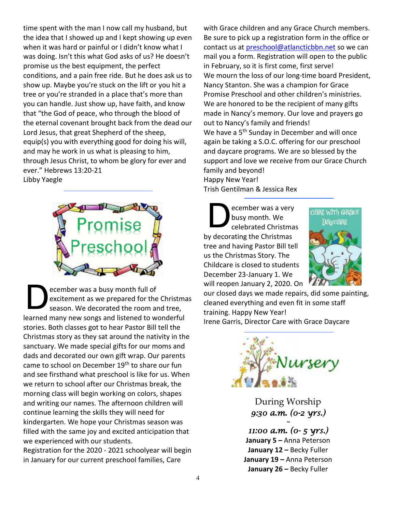time spent with the man I now call my husband, but the idea that I showed up and I kept showing up even when it was hard or painful or I didn't know what I was doing. Isn't this what God asks of us? He doesn't promise us the best equipment, the perfect conditions, and a pain free ride. But he does ask us to show up. Maybe you're stuck on the lift or you hit a tree or you're stranded in a place that's more than you can handle. Just show up, have faith, and know that "the God of peace, who through the blood of the eternal covenant brought back from the dead our Lord Jesus, that great Shepherd of the sheep, equip(s) you with everything good for doing his will, and may he work in us what is pleasing to him, through Jesus Christ, to whom be glory for ever and ever." Hebrews 13:20-21 Libby Yaegle



ecember was a busy month full of excitement as we prepared for the Christmas season. We decorated the room and tree, learned many new songs and listened to wonderful stories. Both classes got to hear Pastor Bill tell the Christmas story as they sat around the nativity in the sanctuary. We made special gifts for our moms and dads and decorated our own gift wrap. Our parents came to school on December 19<sup>th</sup> to share our fun and see firsthand what preschool is like for us. When we return to school after our Christmas break, the morning class will begin working on colors, shapes and writing our names. The afternoon children will continue learning the skills they will need for kindergarten. We hope your Christmas season was filled with the same joy and excited anticipation that we experienced with our students. D

Registration for the 2020 - 2021 schoolyear will begin in January for our current preschool families, Care

with Grace children and any Grace Church members. Be sure to pick up a registration form in the office or contact us at [preschool@atlancticbbn.net](mailto:preschool@atlancticbbn.net) so we can mail you a form. Registration will open to the public in February, so it is first come, first serve! We mourn the loss of our long-time board President, Nancy Stanton. She was a champion for Grace Promise Preschool and other children's ministries. We are honored to be the recipient of many gifts made in Nancy's memory. Our love and prayers go out to Nancy's family and friends! We have a 5<sup>th</sup> Sunday in December and will once again be taking a S.O.C. offering for our preschool and daycare programs. We are so blessed by the support and love we receive from our Grace Church family and beyond! Happy New Year!

Trish Gentilman & Jessica Rex

ecember was a very busy month. We celebrated Christmas by decorating the Christmas tree and having Pastor Bill tell us the Christmas Story. The Childcare is closed to students December 23-January 1. We will reopen January 2, 2020. On D



our closed days we made repairs, did some painting, cleaned everything and even fit in some staff training. Happy New Year! Irene Garris, Director Care with Grace Daycare



During Worship *9:30 a.m. (0-2 yrs.)* 

*~* 

*11:00 a.m. (0- 5 yrs.)*  **January 5** *–* Anna Peterson **January 12 –** Becky Fuller **January 19 –** Anna Peterson **January 26 –** Becky Fuller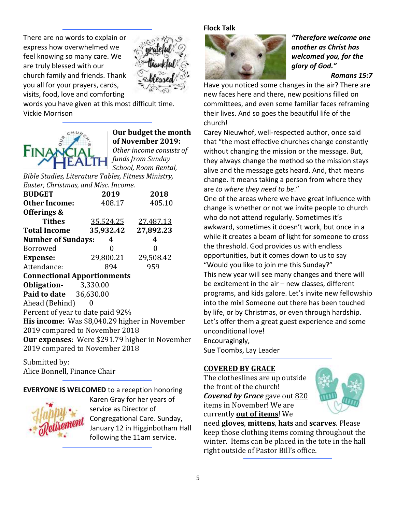There are no words to explain or express how overwhelmed we feel knowing so many care. We are truly blessed with our church family and friends. Thank you all for your prayers, cards, visits, food, love and comforting



words you have given at this most difficult time. Vickie Morrison



#### **Our budget the month of November 2019:**

*Other income consists of funds from Sunday School, Room Rental,* 

*Bible Studies, Literature Tables, Fitness Ministry, Easter, Christmas, and Misc. Income.*

| <b>BUDGET</b>                                  | 2019                | 2018      |  |  |  |  |  |  |  |
|------------------------------------------------|---------------------|-----------|--|--|--|--|--|--|--|
| <b>Other Income:</b>                           | 408.17              | 405.10    |  |  |  |  |  |  |  |
| Offerings &                                    |                     |           |  |  |  |  |  |  |  |
| Tithes                                         | <u>35,524.25</u>    | 27,487.13 |  |  |  |  |  |  |  |
| <b>Total Income</b>                            | 35,932.42           | 27,892.23 |  |  |  |  |  |  |  |
| <b>Number of Sundays:</b>                      | 4                   | 4         |  |  |  |  |  |  |  |
| <b>Borrowed</b>                                | 0                   | 0         |  |  |  |  |  |  |  |
| <b>Expense:</b>                                | 29,800.21 29,508.42 |           |  |  |  |  |  |  |  |
| Attendance:                                    | 894                 | 959       |  |  |  |  |  |  |  |
| <b>Connectional Apportionments</b>             |                     |           |  |  |  |  |  |  |  |
| <b>Obligation-</b> 3,330.00                    |                     |           |  |  |  |  |  |  |  |
| <b>Paid to date</b> 36,630.00                  |                     |           |  |  |  |  |  |  |  |
| Ahead (Behind)                                 |                     |           |  |  |  |  |  |  |  |
| Percent of year to date paid 92%               |                     |           |  |  |  |  |  |  |  |
| His income: Was \$8,040.29 higher in November  |                     |           |  |  |  |  |  |  |  |
| 2019 compared to November 2018                 |                     |           |  |  |  |  |  |  |  |
| Our expenses: Were \$291.79 higher in November |                     |           |  |  |  |  |  |  |  |
| 2019 compared to November 2018                 |                     |           |  |  |  |  |  |  |  |
|                                                |                     |           |  |  |  |  |  |  |  |

Submitted by: Alice Bonnell, Finance Chair

#### **EVERYONE IS WELCOMED** to a reception honoring



Karen Gray for her years of service as Director of Congregational Care. Sunday, January 12 in Higginbotham Hall following the 11am service.

#### **Flock Talk**



*"Therefore welcome one another as Christ has welcomed you, for the glory of God."*

#### *Romans 15:7*

Have you noticed some changes in the air? There are new faces here and there, new positions filled on committees, and even some familiar faces reframing their lives. And so goes the beautiful life of the church!

Carey Nieuwhof, well-respected author, once said that "the most effective churches change constantly without changing the mission or the message. But, they always change the method so the mission stays alive and the message gets heard. And, that means change. It means taking a person from where they are *to where they need to be*."

One of the areas where we have great influence with change is whether or not we invite people to church who do not attend regularly. Sometimes it's awkward, sometimes it doesn't work, but once in a while it creates a beam of light for someone to cross the threshold. God provides us with endless opportunities, but it comes down to us to say "Would you like to join me this Sunday?" This new year will see many changes and there will be excitement in the air – new classes, different programs, and kids galore. Let's invite new fellowship into the mix! Someone out there has been touched by life, or by Christmas, or even through hardship. Let's offer them a great guest experience and some unconditional love! Encouragingly,

Sue Toombs, Lay Leader

#### **COVERED BY GRACE**

The clotheslines are up outside the front of the church! *Covered by Grace* gave out 820 items in November! We are currently **out of items**! We



need **gloves**, **mittens**, **hats** and **scarves**. Please keep those clothing items coming throughout the winter. Items can be placed in the tote in the hall right outside of Pastor Bill's office.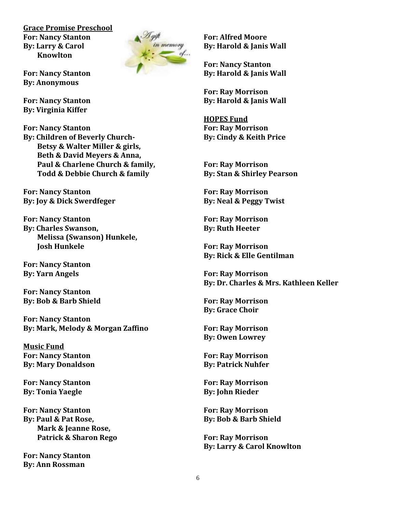**Grace Promise Preschool For: Nancy Stanton By: Larry & Carol Knowlton**



**For: Nancy Stanton By: Anonymous**

**For: Nancy Stanton By: Virginia Kiffer**

**For: Nancy Stanton By: Children of Beverly Church-Betsy & Walter Miller & girls, Beth & David Meyers & Anna, Paul & Charlene Church & family, Todd & Debbie Church & family**

**For: Nancy Stanton By: Joy & Dick Swerdfeger**

**For: Nancy Stanton By: Charles Swanson, Melissa (Swanson) Hunkele, Josh Hunkele**

**For: Nancy Stanton By: Yarn Angels**

**For: Nancy Stanton By: Bob & Barb Shield**

**For: Nancy Stanton By: Mark, Melody & Morgan Zaffino**

**Music Fund For: Nancy Stanton By: Mary Donaldson**

**For: Nancy Stanton By: Tonia Yaegle**

**For: Nancy Stanton By: Paul & Pat Rose, Mark & Jeanne Rose, Patrick & Sharon Rego**

**For: Nancy Stanton By: Ann Rossman**

**For: Alfred Moore By: Harold & Janis Wall**

**For: Nancy Stanton By: Harold & Janis Wall**

**For: Ray Morrison By: Harold & Janis Wall** 

**HOPES Fund For: Ray Morrison By: Cindy & Keith Price**

**For: Ray Morrison By: Stan & Shirley Pearson**

**For: Ray Morrison By: Neal & Peggy Twist**

**For: Ray Morrison By: Ruth Heeter**

**For: Ray Morrison By: Rick & Elle Gentilman**

**For: Ray Morrison By: Dr. Charles & Mrs. Kathleen Keller**

**For: Ray Morrison By: Grace Choir**

**For: Ray Morrison By: Owen Lowrey**

**For: Ray Morrison By: Patrick Nuhfer**

**For: Ray Morrison By: John Rieder**

**For: Ray Morrison By: Bob & Barb Shield**

**For: Ray Morrison By: Larry & Carol Knowlton**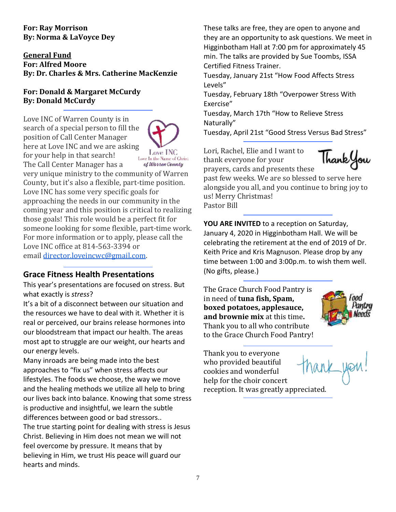#### **For: Ray Morrison By: Norma & LaVoyce Dey**

#### **General Fund For: Alfred Moore By: Dr. Charles & Mrs. Catherine MacKenzie**

#### **For: Donald & Margaret McCurdy By: Donald McCurdy**

Love INC of Warren County is in search of a special person to fill the position of Call Center Manager here at Love INC and we are asking for your help in that search!



The Call Center Manager has a of Warren County very unique ministry to the community of Warren County, but it's also a flexible, part-time position. Love INC has some very specific goals for approaching the needs in our community in the coming year and this position is critical to realizing those goals! This role would be a perfect fit for someone looking for some flexible, part-time work. For more information or to apply, please call the Love INC office at 814-563-3394 or email [director.loveincwc@gmail.com.](mailto:director.loveincwc@gmail.com)

#### **Grace Fitness Health Presentations**

This year's presentations are focused on stress. But what exactly is *stress*?

It's a bit of a disconnect between our situation and the resources we have to deal with it. Whether it is real or perceived, our brains release hormones into our bloodstream that impact our health. The areas most apt to struggle are our weight, our hearts and our energy levels.

Many inroads are being made into the best approaches to "fix us" when stress affects our lifestyles. The foods we choose, the way we move and the healing methods we utilize all help to bring our lives back into balance. Knowing that some stress is productive and insightful, we learn the subtle differences between good or bad stressors.. The true starting point for dealing with stress is Jesus Christ. Believing in Him does not mean we will not feel overcome by pressure. It means that by believing in Him, we trust His peace will guard our hearts and minds.

These talks are free, they are open to anyone and they are an opportunity to ask questions. We meet in Higginbotham Hall at 7:00 pm for approximately 45 min. The talks are provided by Sue Toombs, ISSA Certified Fitness Trainer.

Tuesday, January 21st "How Food Affects Stress Levels"

Tuesday, February 18th "Overpower Stress With Exercise"

Tuesday, March 17th "How to Relieve Stress Naturally"

Tuesday, April 21st "Good Stress Versus Bad Stress"

Lori, Rachel, Elie and I want to thank everyone for your prayers, cards and presents these



past few weeks. We are so blessed to serve here alongside you all, and you continue to bring joy to us! Merry Christmas!

Pastor Bill

**YOU ARE INVITED** to a reception on Saturday, January 4, 2020 in Higginbotham Hall. We will be celebrating the retirement at the end of 2019 of Dr. Keith Price and Kris Magnuson. Please drop by any time between 1:00 and 3:00p.m. to wish them well. (No gifts, please.)

The Grace Church Food Pantry is in need of **tuna fish, Spam, boxed potatoes, applesauce, and brownie mix** at this time**.** Thank you to all who contribute to the Grace Church Food Pantry!



Thank you to everyone who provided beautiful cookies and wonderful help for the choir concert reception. It was greatly appreciated.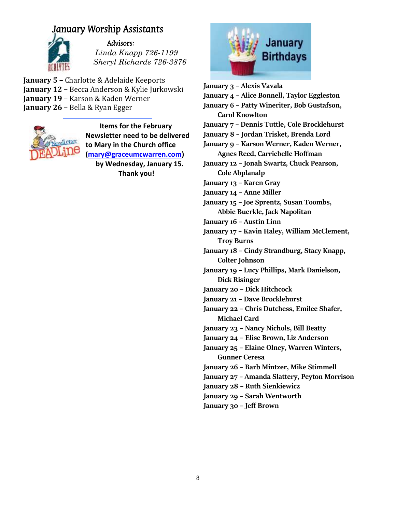# January Worship Assistants



#### Advisors:

 *Linda Knapp 726-1199 Sheryl Richards 726-3876*

**January 5 –** Charlotte & Adelaide Keeports **January 12 –** Becca Anderson & Kylie Jurkowski **January 19 –** Karson & Kaden Werner **January 26 –** Bella & Ryan Egger



 **Items for the February Newsletter need to be delivered to Mary in the Church office [\(mary@graceumcwarren.com\)](mailto:mary@graceumcwarren.com) by Wednesday, January 15.**

**Thank you!**



- **January 3 – Alexis Vavala**
- **January 4 – Alice Bonnell, Taylor Eggleston**
- **January 6 – Patty Wineriter, Bob Gustafson, Carol Knowlton**
- **January 7 – Dennis Tuttle, Cole Brocklehurst**
- **January 8 – Jordan Trisket, Brenda Lord**

**January 9 – Karson Werner, Kaden Werner, Agnes Reed, Carriebelle Hoffman**

- **January 12 – Jonah Swartz, Chuck Pearson, Cole Abplanalp**
- **January 13 – Karen Gray**
- **January 14 – Anne Miller**
- **January 15 – Joe Sprentz, Susan Toombs, Abbie Buerkle, Jack Napolitan**
- **January 16 – Austin Linn**

**January 17 – Kavin Haley, William McClement, Troy Burns**

**January 18 – Cindy Strandburg, Stacy Knapp, Colter Johnson**

**January 19 – Lucy Phillips, Mark Danielson, Dick Risinger**

- **January 20 – Dick Hitchcock**
- **January 21 – Dave Brocklehurst**

**January 22 – Chris Dutchess, Emilee Shafer, Michael Card**

- **January 23 – Nancy Nichols, Bill Beatty**
- **January 24 – Elise Brown, Liz Anderson**
- **January 25 – Elaine Olney, Warren Winters, Gunner Ceresa**
- **January 26 – Barb Mintzer, Mike Stimmell**
- **January 27 – Amanda Slattery, Peyton Morrison**
- **January 28 – Ruth Sienkiewicz**
- **January 29 – Sarah Wentworth**
- **January 30 – Jeff Brown**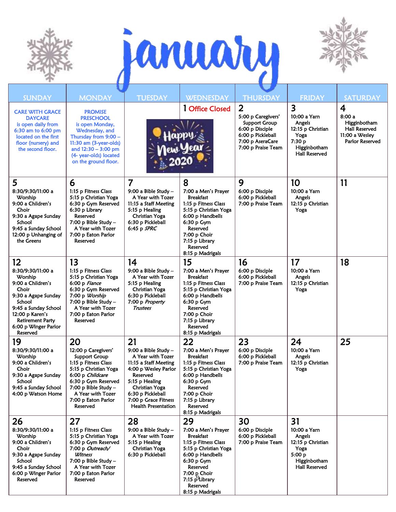





| <b>SUNDAY</b>                                                                                                                                                                                               | <b>MONDAY</b>                                                                                                                                                                                                          | <b>TUESDAY</b>                                                                                                                                                                                                                | <b>WEDNESDAY</b>                                                                                                                                                                                                   | <b>THURSDAY</b>                                                                                                                         | <b>FRIDAY</b>                                                                                                                    | <b>SATURDAY</b>                                                                         |
|-------------------------------------------------------------------------------------------------------------------------------------------------------------------------------------------------------------|------------------------------------------------------------------------------------------------------------------------------------------------------------------------------------------------------------------------|-------------------------------------------------------------------------------------------------------------------------------------------------------------------------------------------------------------------------------|--------------------------------------------------------------------------------------------------------------------------------------------------------------------------------------------------------------------|-----------------------------------------------------------------------------------------------------------------------------------------|----------------------------------------------------------------------------------------------------------------------------------|-----------------------------------------------------------------------------------------|
| <b>CARE WITH GRACE</b><br><b>DAYCARE</b><br>is open daily from<br>6:30 am to 6:00 pm<br>located on the first<br>floor (nursery) and<br>the second floor.                                                    | <b>PROMISE</b><br><b>PRESCHOOL</b><br>is open Monday,<br>Wednesday, and<br>Thursday from 9:00 -<br>11:30 am (3-year-olds)<br>and $12:30 - 3:00$ pm<br>(4- year-olds) located<br>on the ground floor.                   |                                                                                                                                                                                                                               | 1 Office Closed                                                                                                                                                                                                    | $\overline{2}$<br>5:00 p Caregivers'<br>Support Group<br>6:00 p Disciple<br>6:00 p Pickleball<br>7:00 p AseraCare<br>7:00 p Praise Team | $\overline{\mathbf{3}}$<br>10:00 a Yarn<br>Angels<br>12:15 p Christian<br>Yoga<br>7:30 p<br>Higginbotham<br><b>Hall Reserved</b> | 4<br>8:00a<br>Higginbotham<br><b>Hall Reserved</b><br>11:00 a Wesley<br>Parlor Reserved |
| 5<br>8:30/9:30/11:00 a<br>Worship<br>9:00 a Children's<br>Choir<br>9:30 a Agape Sunday<br>School<br>9:45 a Sunday School<br>12:00 p Unhanging of<br>the Greens                                              | 6<br>1:15 p Fitness Class<br>5:15 p Christian Yoga<br>6:30 p Gym Reserved<br>6:30 p Library<br>Reserved<br>7:00 p Bible Study $-$<br>A Year with Tozer<br>7:00 p Eaton Parlor<br>Reserved                              | $\overline{7}$<br>9:00 a Bible Study -<br>A Year with Tozer<br>11:15 a Staff Meeting<br>5:15 p Healing<br>Christian Yoga<br>6:30 p Pickleball<br>$6:45$ p $SPRC$                                                              | 8<br>7:00 a Men's Prayer<br><b>Breakfast</b><br>1:15 p Fitness Class<br>5:15 p Christian Yoga<br>6:00 p Handbells<br>6:30 p Gym<br>Reserved<br>7:00 p Choir<br>7:15 p Library<br>Reserved<br>8:15 p Madrigals      | 9<br>6:00 p Disciple<br>6:00 p Pickleball<br>7:00 p Praise Team                                                                         | 10<br>10:00 a Yarn<br>Angels<br>12:15 p Christian<br>Yoga                                                                        | 11                                                                                      |
| 12<br>8:30/9:30/11:00 a<br>Worship<br>9:00 a Children's<br>Choir<br>9:30 a Agape Sunday<br>School<br>9:45 a Sunday School<br>12:00 p Karen's<br><b>Retirement Party</b><br>6:00 p Winger Parlor<br>Reserved | 13<br>1:15 p Fitness Class<br>5:15 p Christian Yoga<br>6:00 p Fiance<br>6:30 p Gym Reserved<br>7:00 p Worship<br>7:00 p Bible Study $-$<br>A Year with Tozer<br>7:00 p Eaton Parlor<br>Reserved                        | 14<br>9:00 a Bible Study -<br>A Year with Tozer<br>5:15 p Healing<br>Christian Yoga<br>6:30 p Pickleball<br>7:00 p Property<br><b>Trustees</b>                                                                                | 15<br>7:00 a Men's Prayer<br><b>Breakfast</b><br>1:15 p Fitness Class<br>5:15 p Christian Yoga<br>6:00 p Handbells<br>6:30 p Gym<br>Reserved<br>7:00 p Choir<br>7:15 p Library<br>Reserved<br>8:15 p Madrigals     | 16<br>6:00 p Disciple<br>6:00 p Pickleball<br>7:00 p Praise Team                                                                        | 17<br>10:00 a Yarn<br>Angels<br>12:15 p Christian<br>Yoga                                                                        | 18                                                                                      |
| 19<br>8:30/9:30/11:00 a<br>Worship<br>9:00 a Children's<br>Choir<br>9:30 a Agape Sunday<br>School<br>9:45 a Sunday School<br>4:00 p Watson Home                                                             | 20<br>12:00 p Caregivers'<br>Support Group<br>1:15 p Fitness Class<br>5:15 p Christian Yoga<br>6:00 p Childcare<br>6:30 p Gym Reserved<br>7:00 p Bible Study -<br>A Year with Tozer<br>7:00 p Eaton Parlor<br>Reserved | 21<br>9:00 a Bible Study $-$<br>A Year with Tozer<br>11:15 a Staff Meeting<br>4:00 p Wesley Parlor<br>Reserved<br>5:15 p Healing<br>Christian Yoga<br>6:30 p Pickleball<br>7:00 p Grace Fitness<br><b>Health Presentation</b> | 22<br>7:00 a Men's Prayer<br><b>Breakfast</b><br>1:15 p Fitness Class<br>5:15 p Christian Yoga<br>6:00 p Handbells<br>$6:30 p$ Gym<br>Reserved<br>7:00 p Choir<br>7:15 p Library<br>Reserved<br>8:15 p Madrigals   | 23<br>6:00 p Disciple<br>6:00 p Pickleball<br>7:00 p Praise Team                                                                        | 24<br>10:00 a Yarn<br>Angels<br>12:15 p Christian<br>Yoga                                                                        | 25                                                                                      |
| 26<br>8:30/9:30/11:00 a<br>Worship<br>9:00 a Children's<br>Choir<br>9:30 a Agape Sunday<br>School<br>9:45 a Sunday School<br>6:00 p Winger Parlor<br>Reserved                                               | 27<br>1:15 p Fitness Class<br>5:15 p Christian Yoga<br>6:30 p Gym Reserved<br>7:00 p Outreach/<br>Witness<br>7:00 p Bible Study $-$<br>A Year with Tozer<br>7:00 p Eaton Parlor<br>Reserved                            | 28<br>9:00 a Bible Study -<br>A Year with Tozer<br>5:15 p Healing<br>Christian Yoga<br>6:30 p Pickleball                                                                                                                      | 29<br>7:00 a Men's Prayer<br><b>Breakfast</b><br>1:15 p Fitness Class<br>5:15 p Christian Yoga<br>6:00 p Handbells<br>$6:30 p$ Gym<br>Reserved<br>7:00 p Choir<br>7:15 $P$ Library<br>Reserved<br>8:15 p Madrigals | 30<br>6:00 p Disciple<br>6:00 p Pickleball<br>7:00 p Praise Team                                                                        | 31<br>10:00 a Yarn<br>Angels<br>12:15 p Christian<br>Yoga<br>5:00 p<br>Higginbotham<br>Hall Reserved                             |                                                                                         |